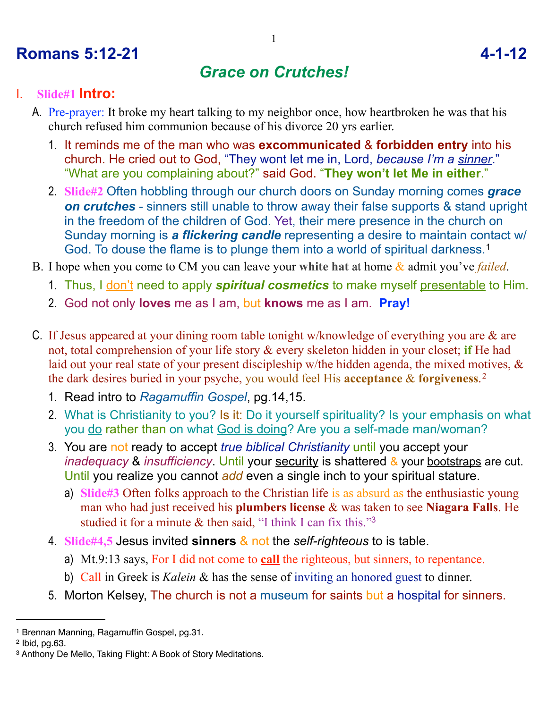# **Romans 5:12-21 4-1-12**

## *Grace on Crutches!*

#### I. **Slide#1 Intro:**

- A. Pre-prayer: It broke my heart talking to my neighbor once, how heartbroken he was that his church refused him communion because of his divorce 20 yrs earlier.
	- 1. It reminds me of the man who was **excommunicated** & **forbidden entry** into his church. He cried out to God, "They wont let me in, Lord, *because I'm a sinner*." "What are you complaining about?" said God. "**They won't let Me in either**."
	- 2. **Slide#2** Often hobbling through our church doors on Sunday morning comes *grace on crutches* - sinners still unable to throw away their false supports & stand upright in the freedom of the children of God. Yet, their mere presence in the church on Sunday morning is *a flickering candle* representing a desire to maintain contact w/ God. To douse the flame is to plunge them into a world of spiritual darkness.[1](#page-0-0)
- B. I hope when you come to CM you can leave your **white hat** at home & admit you've *failed*.
	- 1. Thus, I don't need to apply *spiritual cosmetics* to make myself presentable to Him.
	- 2. God not only **loves** me as I am, but **knows** me as I am. **Pray!**
- C. If Jesus appeared at your dining room table tonight w/knowledge of everything you are & are not, total comprehension of your life story & every skeleton hidden in your closet; **if** He had laid out your real state of your present discipleship w/the hidden agenda, the mixed motives, & the dark desires buried in your psyche, you would feel His **acceptance** & **forgiveness**.[2](#page-0-1)
	- 1. Read intro to *Ragamuffin Gospel*, pg.14,15.
	- 2. What is Christianity to you? Is it: Do it yourself spirituality? Is your emphasis on what you do rather than on what God is doing? Are you a self-made man/woman?
	- 3. You are not ready to accept *true biblical Christianity* until you accept your *inadequacy* & *insufficiency*. Until your security is shattered & your bootstraps are cut. Until you realize you cannot *add* even a single inch to your spiritual stature.
		- a) **Slide#3** Often folks approach to the Christian life is as absurd as the enthusiastic young man who had just received his **plumbers license** & was taken to see **Niagara Falls**. He studied it for a minute & then said, "I think I can fix this."<sup>[3](#page-0-2)</sup>
	- 4. **Slide#4,5** Jesus invited **sinners** & not the *self-righteous* to is table.
		- a) Mt.9:13 says, For I did not come to **call** the righteous, but sinners, to repentance.
		- b) Call in Greek is *Kalein* & has the sense of inviting an honored guest to dinner.
	- 5. Morton Kelsey, The church is not a museum for saints but a hospital for sinners.

<span id="page-0-0"></span><sup>1</sup> Brennan Manning, Ragamuffin Gospel, pg.31.

<span id="page-0-1"></span><sup>2</sup> Ibid, pg.63.

<span id="page-0-2"></span><sup>3</sup> Anthony De Mello, Taking Flight: A Book of Story Meditations.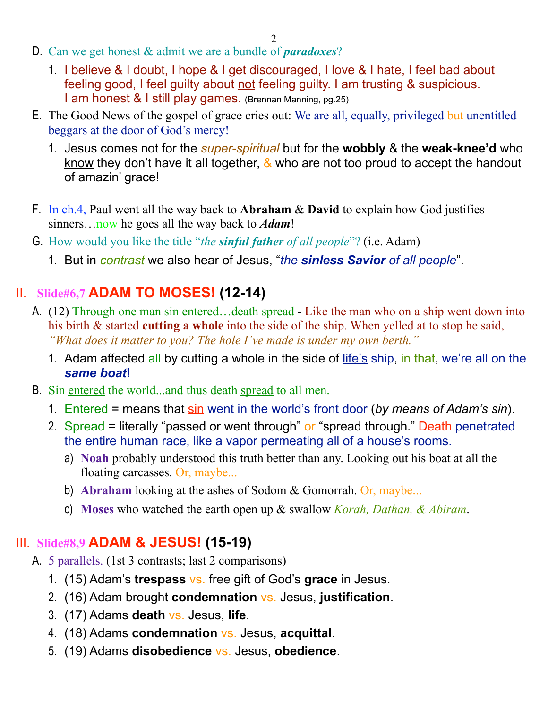2

- D. Can we get honest & admit we are a bundle of *paradoxes*?
	- 1. I believe & I doubt, I hope & I get discouraged, I love & I hate, I feel bad about feeling good, I feel guilty about not feeling guilty. I am trusting & suspicious. I am honest & I still play games. (Brennan Manning, pg.25)
- E. The Good News of the gospel of grace cries out: We are all, equally, privileged but unentitled beggars at the door of God's mercy!
	- 1. Jesus comes not for the *super-spiritual* but for the **wobbly** & the **weak-knee'd** who know they don't have it all together,  $\&$  who are not too proud to accept the handout of amazin' grace!
- F. In ch.4, Paul went all the way back to **Abraham** & **David** to explain how God justifies sinners…now he goes all the way back to *Adam*!
- G. How would you like the title "*the sinful father of all people*"? (i.e. Adam)
	- 1. But in *contrast* we also hear of Jesus, "*the sinless Savior of all people*".

### II. **Slide#6,7 ADAM TO MOSES! (12-14)**

- A. (12) Through one man sin entered…death spread Like the man who on a ship went down into his birth & started **cutting a whole** into the side of the ship. When yelled at to stop he said, *"What does it matter to you? The hole I've made is under my own berth."*
	- 1. Adam affected all by cutting a whole in the side of life's ship, in that, we're all on the *same boat***!**
- B. Sin entered the world...and thus death spread to all men.
	- 1. Entered = means that sin went in the world's front door (*by means of Adam's sin*).
	- 2. Spread = literally "passed or went through" or "spread through." Death penetrated the entire human race, like a vapor permeating all of a house's rooms.
		- a) **Noah** probably understood this truth better than any. Looking out his boat at all the floating carcasses. Or, maybe...
		- b) **Abraham** looking at the ashes of Sodom & Gomorrah. Or, maybe...
		- c) **Moses** who watched the earth open up & swallow *Korah, Dathan, & Abiram*.

### III. **Slide#8,9 ADAM & JESUS! (15-19)**

- A. 5 parallels. (1st 3 contrasts; last 2 comparisons)
	- 1. (15) Adam's **trespass** vs. free gift of God's **grace** in Jesus.
	- 2. (16) Adam brought **condemnation** vs. Jesus, **justification**.
	- 3. (17) Adams **death** vs. Jesus, **life**.
	- 4. (18) Adams **condemnation** vs. Jesus, **acquittal**.
	- 5. (19) Adams **disobedience** vs. Jesus, **obedience**.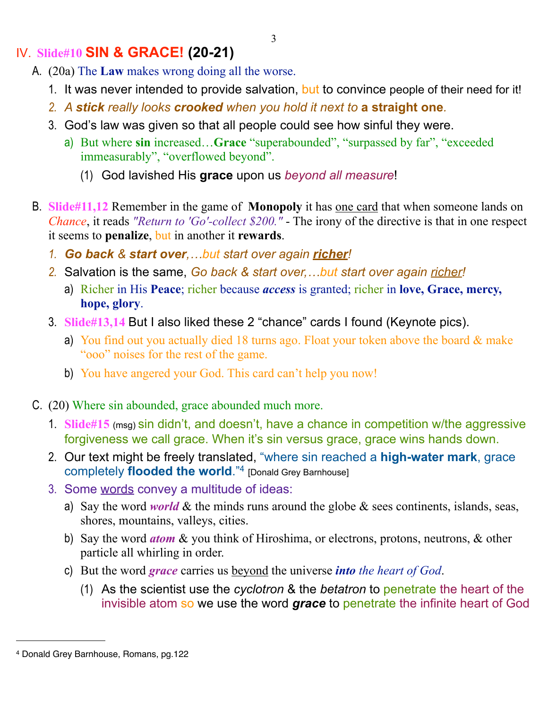## IV. **Slide#10 SIN & GRACE! (20-21)**

- A. (20a) The **Law** makes wrong doing all the worse.
	- 1. It was never intended to provide salvation, but to convince people of their need for it!
	- *2. A stick really looks crooked when you hold it next to* **a straight one***.*
	- 3. God's law was given so that all people could see how sinful they were.
		- a) But where **sin** increased…**Grace** "superabounded", "surpassed by far", "exceeded immeasurably", "overflowed beyond".
			- (1) God lavished His **grace** upon us *beyond all measure*!
- B. **Slide#11,12** Remember in the game of **Monopoly** it has one card that when someone lands on *Chance*, it reads *"Return to 'Go'-collect \$200."* - The irony of the directive is that in one respect it seems to **penalize**, but in another it **rewards**.
	- *1. Go back & start over,…but start over again richer!*
	- *2.* Salvation is the same, *Go back & start over,…but start over again richer!*
		- a) Richer in His **Peace**; richer because *access* is granted; richer in **love, Grace, mercy, hope, glory**.
	- 3. **Slide#13,14** But I also liked these 2 "chance" cards I found (Keynote pics).
		- a) You find out you actually died 18 turns ago. Float your token above the board & make "ooo" noises for the rest of the game.
		- b) You have angered your God. This card can't help you now!
- C. (20) Where sin abounded, grace abounded much more.
	- 1. **Slide#15** (msg) sin didn't, and doesn't, have a chance in competition w/the aggressive forgiveness we call grace. When it's sin versus grace, grace wins hands down.
	- 2. Our text might be freely translated, "where sin reached a **high-water mark**, grace completely **flooded the world**.["4](#page-2-0) [Donald Grey Barnhouse]
	- 3. Some words convey a multitude of ideas:
		- a) Say the word *world* & the minds runs around the globe  $\&$  sees continents, islands, seas, shores, mountains, valleys, cities.
		- b) Say the word *atom* & you think of Hiroshima, or electrons, protons, neutrons, & other particle all whirling in order.
		- c) But the word *grace* carries us beyond the universe *into the heart of God*.
			- (1) As the scientist use the *cyclotron* & the *betatron* to penetrate the heart of the invisible atom so we use the word *grace* to penetrate the infinite heart of God

<span id="page-2-0"></span><sup>4</sup> Donald Grey Barnhouse, Romans, pg.122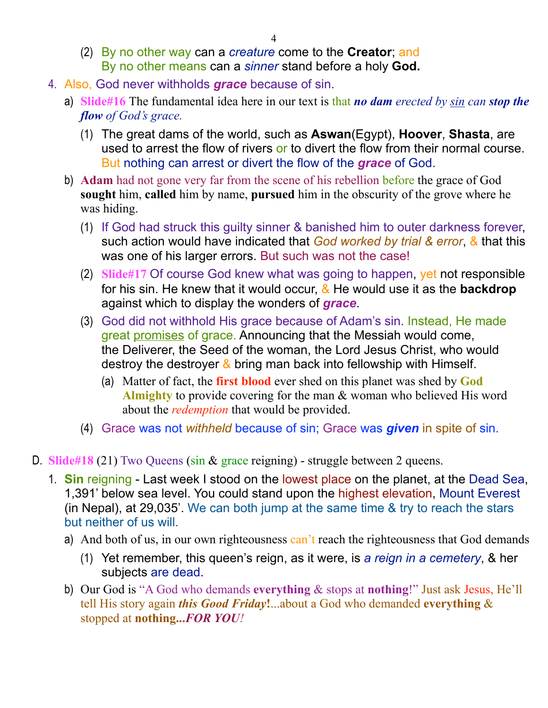- (2) By no other way can a *creature* come to the **Creator**; and By no other means can a *sinner* stand before a holy **God.**
- 4. Also, God never withholds *grace* because of sin.
	- a) **Slide#16** The fundamental idea here in our text is that *no dam erected by sin can stop the flow of God's grace.* 
		- (1) The great dams of the world, such as **Aswan**(Egypt), **Hoover**, **Shasta**, are used to arrest the flow of rivers or to divert the flow from their normal course. But nothing can arrest or divert the flow of the *grace* of God.
	- b) **Adam** had not gone very far from the scene of his rebellion before the grace of God **sought** him, **called** him by name, **pursued** him in the obscurity of the grove where he was hiding.
		- (1) If God had struck this guilty sinner & banished him to outer darkness forever, such action would have indicated that *God worked by trial & error*, & that this was one of his larger errors. But such was not the case!
		- (2) **Slide#17** Of course God knew what was going to happen, yet not responsible for his sin. He knew that it would occur, & He would use it as the **backdrop** against which to display the wonders of *grace*.
		- (3) God did not withhold His grace because of Adam's sin. Instead, He made great promises of grace. Announcing that the Messiah would come, the Deliverer, the Seed of the woman, the Lord Jesus Christ, who would destroy the destroyer  $\&$  bring man back into fellowship with Himself.
			- (a) Matter of fact, the **first blood** ever shed on this planet was shed by **God Almighty** to provide covering for the man & woman who believed His word about the *redemption* that would be provided.
		- (4) Grace was not *withheld* because of sin; Grace was *given* in spite of sin.
- D. **Slide#18** (21) Two Queens (sin & grace reigning) struggle between 2 queens.
	- 1. **Sin** reigning Last week I stood on the lowest place on the planet, at the Dead Sea, 1,391' below sea level. You could stand upon the highest elevation, Mount Everest (in Nepal), at 29,035'. We can both jump at the same time & try to reach the stars but neither of us will.
		- a) And both of us, in our own righteousness can't reach the righteousness that God demands
			- (1) Yet remember, this queen's reign, as it were, is *a reign in a cemetery*, & her subjects are dead.
		- b) Our God is "A God who demands **everything** & stops at **nothing**!" Just ask Jesus, He'll tell His story again *this Good Friday***!**...about a God who demanded **everything** & stopped at **nothing...***FOR YOU!*